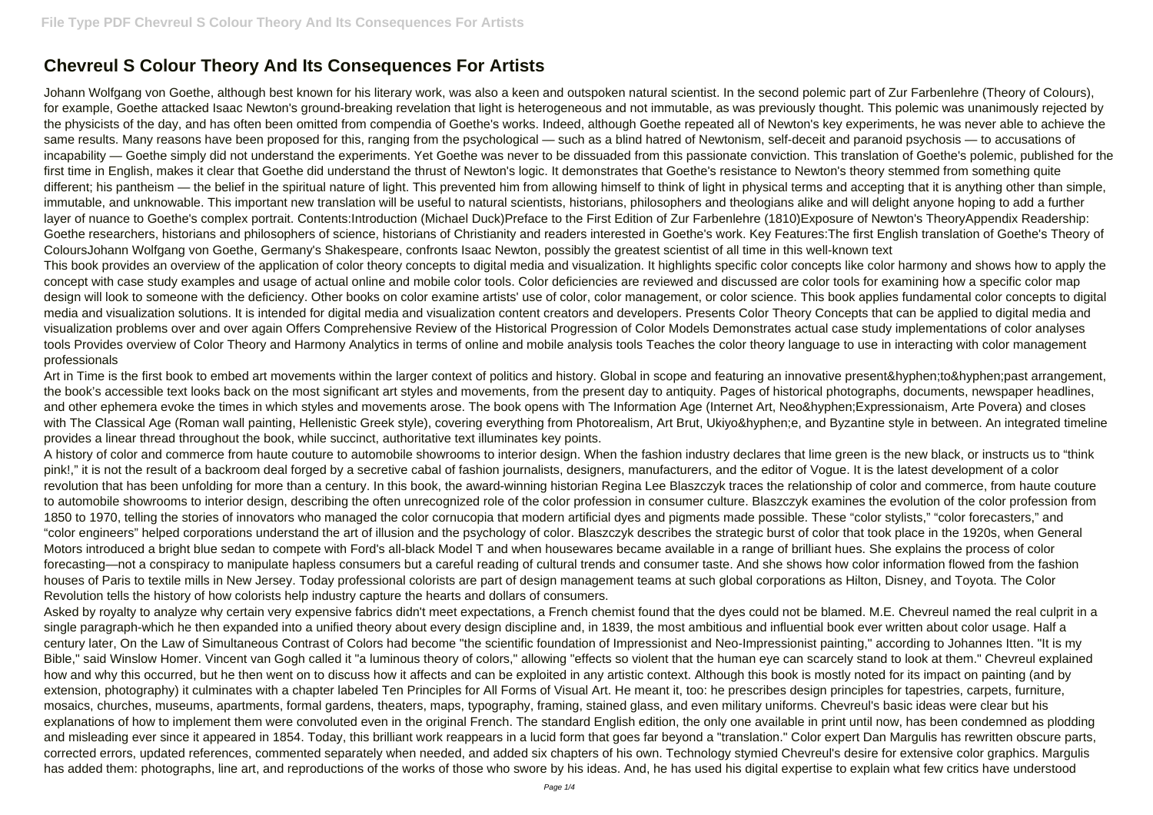## **Chevreul S Colour Theory And Its Consequences For Artists**

Johann Wolfgang von Goethe, although best known for his literary work, was also a keen and outspoken natural scientist. In the second polemic part of Zur Farbenlehre (Theory of Colours), for example, Goethe attacked Isaac Newton's ground-breaking revelation that light is heterogeneous and not immutable, as was previously thought. This polemic was unanimously rejected by the physicists of the day, and has often been omitted from compendia of Goethe's works. Indeed, although Goethe repeated all of Newton's key experiments, he was never able to achieve the same results. Many reasons have been proposed for this, ranging from the psychological — such as a blind hatred of Newtonism, self-deceit and paranoid psychosis — to accusations of incapability — Goethe simply did not understand the experiments. Yet Goethe was never to be dissuaded from this passionate conviction. This translation of Goethe's polemic, published for the first time in English, makes it clear that Goethe did understand the thrust of Newton's logic. It demonstrates that Goethe's resistance to Newton's theory stemmed from something quite different; his pantheism — the belief in the spiritual nature of light. This prevented him from allowing himself to think of light in physical terms and accepting that it is anything other than simple, immutable, and unknowable. This important new translation will be useful to natural scientists, historians, philosophers and theologians alike and will delight anyone hoping to add a further layer of nuance to Goethe's complex portrait. Contents:Introduction (Michael Duck)Preface to the First Edition of Zur Farbenlehre (1810)Exposure of Newton's TheoryAppendix Readership: Goethe researchers, historians and philosophers of science, historians of Christianity and readers interested in Goethe's work. Key Features:The first English translation of Goethe's Theory of ColoursJohann Wolfgang von Goethe, Germany's Shakespeare, confronts Isaac Newton, possibly the greatest scientist of all time in this well-known text This book provides an overview of the application of color theory concepts to digital media and visualization. It highlights specific color concepts like color harmony and shows how to apply the concept with case study examples and usage of actual online and mobile color tools. Color deficiencies are reviewed and discussed are color tools for examining how a specific color map design will look to someone with the deficiency. Other books on color examine artists' use of color, color management, or color science. This book applies fundamental color concepts to digital media and visualization solutions. It is intended for digital media and visualization content creators and developers. Presents Color Theory Concepts that can be applied to digital media and visualization problems over and over again Offers Comprehensive Review of the Historical Progression of Color Models Demonstrates actual case study implementations of color analyses tools Provides overview of Color Theory and Harmony Analytics in terms of online and mobile analysis tools Teaches the color theory language to use in interacting with color management professionals

Art in Time is the first book to embed art movements within the larger context of politics and history. Global in scope and featuring an innovative present‐to‐past arrangement, the book's accessible text looks back on the most significant art styles and movements, from the present day to antiquity. Pages of historical photographs, documents, newspaper headlines, and other ephemera evoke the times in which styles and movements arose. The book opens with The Information Age (Internet Art, Neo‐Expressionaism, Arte Povera) and closes with The Classical Age (Roman wall painting, Hellenistic Greek style), covering everything from Photorealism, Art Brut, Ukiyo‐e, and Byzantine style in between. An integrated timeline provides a linear thread throughout the book, while succinct, authoritative text illuminates key points.

Asked by royalty to analyze why certain very expensive fabrics didn't meet expectations, a French chemist found that the dyes could not be blamed. M.E. Chevreul named the real culprit in a single paragraph-which he then expanded into a unified theory about every design discipline and, in 1839, the most ambitious and influential book ever written about color usage. Half a century later, On the Law of Simultaneous Contrast of Colors had become "the scientific foundation of Impressionist and Neo-Impressionist painting," according to Johannes Itten. "It is my Bible," said Winslow Homer. Vincent van Gogh called it "a luminous theory of colors," allowing "effects so violent that the human eye can scarcely stand to look at them." Chevreul explained how and why this occurred, but he then went on to discuss how it affects and can be exploited in any artistic context. Although this book is mostly noted for its impact on painting (and by extension, photography) it culminates with a chapter labeled Ten Principles for All Forms of Visual Art. He meant it, too: he prescribes design principles for tapestries, carpets, furniture, mosaics, churches, museums, apartments, formal gardens, theaters, maps, typography, framing, stained glass, and even military uniforms. Chevreul's basic ideas were clear but his explanations of how to implement them were convoluted even in the original French. The standard English edition, the only one available in print until now, has been condemned as plodding and misleading ever since it appeared in 1854. Today, this brilliant work reappears in a lucid form that goes far beyond a "translation." Color expert Dan Margulis has rewritten obscure parts, corrected errors, updated references, commented separately when needed, and added six chapters of his own. Technology stymied Chevreul's desire for extensive color graphics. Margulis has added them: photographs, line art, and reproductions of the works of those who swore by his ideas. And, he has used his digital expertise to explain what few critics have understood

A history of color and commerce from haute couture to automobile showrooms to interior design. When the fashion industry declares that lime green is the new black, or instructs us to "think pink!," it is not the result of a backroom deal forged by a secretive cabal of fashion journalists, designers, manufacturers, and the editor of Vogue. It is the latest development of a color revolution that has been unfolding for more than a century. In this book, the award-winning historian Regina Lee Blaszczyk traces the relationship of color and commerce, from haute couture to automobile showrooms to interior design, describing the often unrecognized role of the color profession in consumer culture. Blaszczyk examines the evolution of the color profession from 1850 to 1970, telling the stories of innovators who managed the color cornucopia that modern artificial dyes and pigments made possible. These "color stylists," "color forecasters," and "color engineers" helped corporations understand the art of illusion and the psychology of color. Blaszczyk describes the strategic burst of color that took place in the 1920s, when General Motors introduced a bright blue sedan to compete with Ford's all-black Model T and when housewares became available in a range of brilliant hues. She explains the process of color forecasting—not a conspiracy to manipulate hapless consumers but a careful reading of cultural trends and consumer taste. And she shows how color information flowed from the fashion houses of Paris to textile mills in New Jersey. Today professional colorists are part of design management teams at such global corporations as Hilton, Disney, and Toyota. The Color Revolution tells the history of how colorists help industry capture the hearts and dollars of consumers.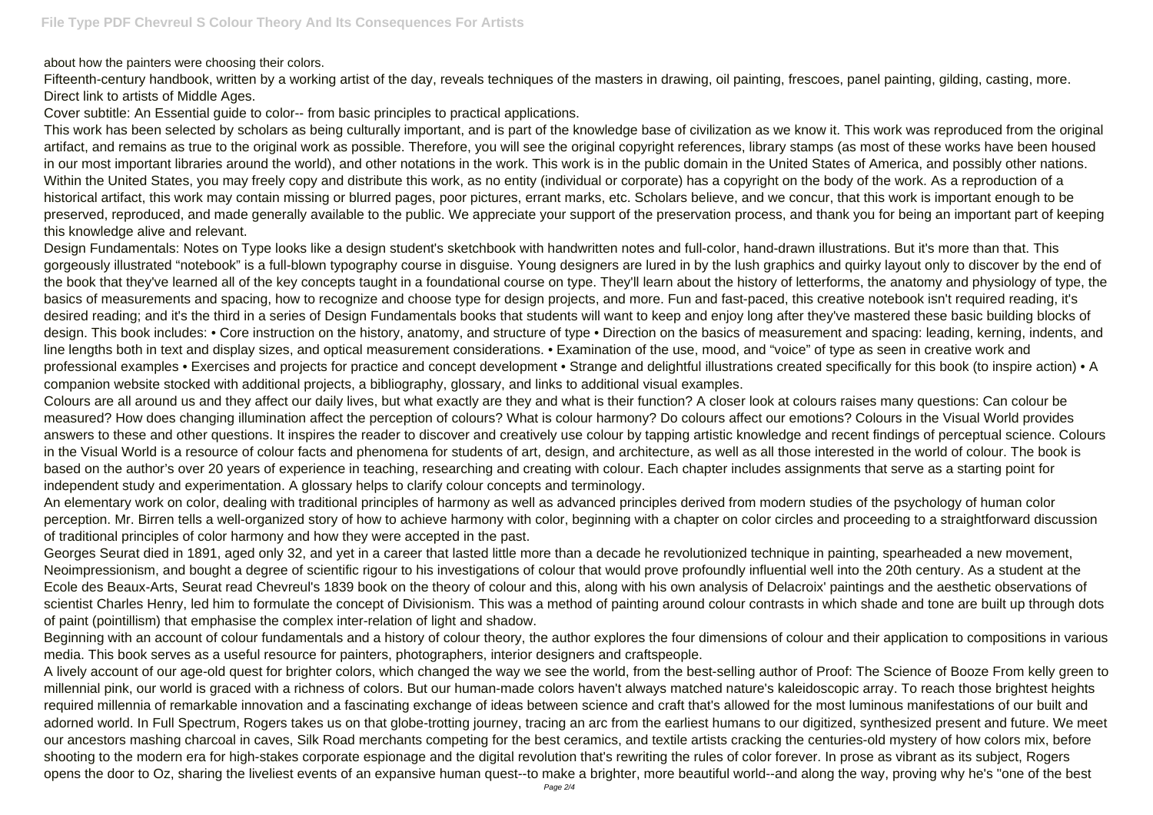about how the painters were choosing their colors.

Fifteenth-century handbook, written by a working artist of the day, reveals techniques of the masters in drawing, oil painting, frescoes, panel painting, gilding, casting, more. Direct link to artists of Middle Ages.

Cover subtitle: An Essential guide to color-- from basic principles to practical applications.

This work has been selected by scholars as being culturally important, and is part of the knowledge base of civilization as we know it. This work was reproduced from the original artifact, and remains as true to the original work as possible. Therefore, you will see the original copyright references, library stamps (as most of these works have been housed in our most important libraries around the world), and other notations in the work. This work is in the public domain in the United States of America, and possibly other nations. Within the United States, you may freely copy and distribute this work, as no entity (individual or corporate) has a copyright on the body of the work. As a reproduction of a historical artifact, this work may contain missing or blurred pages, poor pictures, errant marks, etc. Scholars believe, and we concur, that this work is important enough to be preserved, reproduced, and made generally available to the public. We appreciate your support of the preservation process, and thank you for being an important part of keeping this knowledge alive and relevant.

Design Fundamentals: Notes on Type looks like a design student's sketchbook with handwritten notes and full-color, hand-drawn illustrations. But it's more than that. This gorgeously illustrated "notebook" is a full-blown typography course in disguise. Young designers are lured in by the lush graphics and quirky layout only to discover by the end of the book that they've learned all of the key concepts taught in a foundational course on type. They'll learn about the history of letterforms, the anatomy and physiology of type, the basics of measurements and spacing, how to recognize and choose type for design projects, and more. Fun and fast-paced, this creative notebook isn't required reading, it's desired reading; and it's the third in a series of Design Fundamentals books that students will want to keep and enjoy long after they've mastered these basic building blocks of design. This book includes: • Core instruction on the history, anatomy, and structure of type • Direction on the basics of measurement and spacing: leading, kerning, indents, and line lengths both in text and display sizes, and optical measurement considerations. • Examination of the use, mood, and "voice" of type as seen in creative work and professional examples • Exercises and projects for practice and concept development • Strange and delightful illustrations created specifically for this book (to inspire action) • A companion website stocked with additional projects, a bibliography, glossary, and links to additional visual examples.

Colours are all around us and they affect our daily lives, but what exactly are they and what is their function? A closer look at colours raises many questions: Can colour be measured? How does changing illumination affect the perception of colours? What is colour harmony? Do colours affect our emotions? Colours in the Visual World provides answers to these and other questions. It inspires the reader to discover and creatively use colour by tapping artistic knowledge and recent findings of perceptual science. Colours in the Visual World is a resource of colour facts and phenomena for students of art, design, and architecture, as well as all those interested in the world of colour. The book is based on the author's over 20 years of experience in teaching, researching and creating with colour. Each chapter includes assignments that serve as a starting point for independent study and experimentation. A glossary helps to clarify colour concepts and terminology.

An elementary work on color, dealing with traditional principles of harmony as well as advanced principles derived from modern studies of the psychology of human color perception. Mr. Birren tells a well-organized story of how to achieve harmony with color, beginning with a chapter on color circles and proceeding to a straightforward discussion of traditional principles of color harmony and how they were accepted in the past.

Georges Seurat died in 1891, aged only 32, and yet in a career that lasted little more than a decade he revolutionized technique in painting, spearheaded a new movement, Neoimpressionism, and bought a degree of scientific rigour to his investigations of colour that would prove profoundly influential well into the 20th century. As a student at the Ecole des Beaux-Arts, Seurat read Chevreul's 1839 book on the theory of colour and this, along with his own analysis of Delacroix' paintings and the aesthetic observations of scientist Charles Henry, led him to formulate the concept of Divisionism. This was a method of painting around colour contrasts in which shade and tone are built up through dots of paint (pointillism) that emphasise the complex inter-relation of light and shadow.

Beginning with an account of colour fundamentals and a history of colour theory, the author explores the four dimensions of colour and their application to compositions in various media. This book serves as a useful resource for painters, photographers, interior designers and craftspeople.

A lively account of our age-old quest for brighter colors, which changed the way we see the world, from the best-selling author of Proof: The Science of Booze From kelly green to millennial pink, our world is graced with a richness of colors. But our human-made colors haven't always matched nature's kaleidoscopic array. To reach those brightest heights required millennia of remarkable innovation and a fascinating exchange of ideas between science and craft that's allowed for the most luminous manifestations of our built and adorned world. In Full Spectrum, Rogers takes us on that globe-trotting journey, tracing an arc from the earliest humans to our digitized, synthesized present and future. We meet our ancestors mashing charcoal in caves, Silk Road merchants competing for the best ceramics, and textile artists cracking the centuries-old mystery of how colors mix, before shooting to the modern era for high-stakes corporate espionage and the digital revolution that's rewriting the rules of color forever. In prose as vibrant as its subject, Rogers opens the door to Oz, sharing the liveliest events of an expansive human quest--to make a brighter, more beautiful world--and along the way, proving why he's "one of the best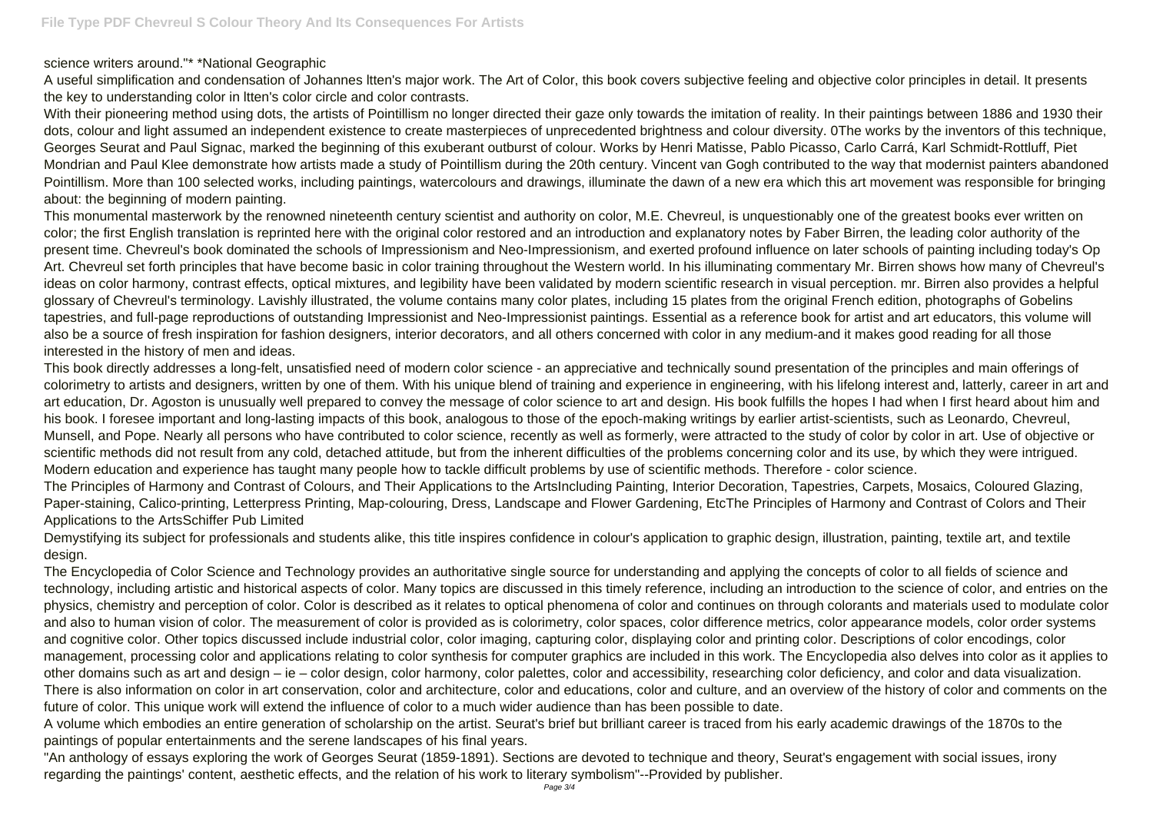science writers around."\* \*National Geographic

A useful simplification and condensation of Johannes ltten's major work. The Art of Color, this book covers subjective feeling and objective color principles in detail. It presents the key to understanding color in ltten's color circle and color contrasts.

With their pioneering method using dots, the artists of Pointillism no longer directed their gaze only towards the imitation of reality. In their paintings between 1886 and 1930 their dots, colour and light assumed an independent existence to create masterpieces of unprecedented brightness and colour diversity. 0The works by the inventors of this technique, Georges Seurat and Paul Signac, marked the beginning of this exuberant outburst of colour. Works by Henri Matisse, Pablo Picasso, Carlo Carrá, Karl Schmidt-Rottluff, Piet Mondrian and Paul Klee demonstrate how artists made a study of Pointillism during the 20th century. Vincent van Gogh contributed to the way that modernist painters abandoned Pointillism. More than 100 selected works, including paintings, watercolours and drawings, illuminate the dawn of a new era which this art movement was responsible for bringing about: the beginning of modern painting.

This monumental masterwork by the renowned nineteenth century scientist and authority on color, M.E. Chevreul, is unquestionably one of the greatest books ever written on color; the first English translation is reprinted here with the original color restored and an introduction and explanatory notes by Faber Birren, the leading color authority of the present time. Chevreul's book dominated the schools of Impressionism and Neo-Impressionism, and exerted profound influence on later schools of painting including today's Op Art. Chevreul set forth principles that have become basic in color training throughout the Western world. In his illuminating commentary Mr. Birren shows how many of Chevreul's ideas on color harmony, contrast effects, optical mixtures, and legibility have been validated by modern scientific research in visual perception. mr. Birren also provides a helpful glossary of Chevreul's terminology. Lavishly illustrated, the volume contains many color plates, including 15 plates from the original French edition, photographs of Gobelins tapestries, and full-page reproductions of outstanding Impressionist and Neo-Impressionist paintings. Essential as a reference book for artist and art educators, this volume will also be a source of fresh inspiration for fashion designers, interior decorators, and all others concerned with color in any medium-and it makes good reading for all those interested in the history of men and ideas.

This book directly addresses a long-felt, unsatisfied need of modern color science - an appreciative and technically sound presentation of the principles and main offerings of colorimetry to artists and designers, written by one of them. With his unique blend of training and experience in engineering, with his lifelong interest and, latterly, career in art and art education, Dr. Agoston is unusually well prepared to convey the message of color science to art and design. His book fulfills the hopes I had when I first heard about him and his book. I foresee important and long-lasting impacts of this book, analogous to those of the epoch-making writings by earlier artist-scientists, such as Leonardo, Chevreul, Munsell, and Pope. Nearly all persons who have contributed to color science, recently as well as formerly, were attracted to the study of color by color in art. Use of objective or scientific methods did not result from any cold, detached attitude, but from the inherent difficulties of the problems concerning color and its use, by which they were intrigued. Modern education and experience has taught many people how to tackle difficult problems by use of scientific methods. Therefore - color science. The Principles of Harmony and Contrast of Colours, and Their Applications to the ArtsIncluding Painting, Interior Decoration, Tapestries, Carpets, Mosaics, Coloured Glazing, Paper-staining, Calico-printing, Letterpress Printing, Map-colouring, Dress, Landscape and Flower Gardening, EtcThe Principles of Harmony and Contrast of Colors and Their Applications to the ArtsSchiffer Pub Limited

Demystifying its subject for professionals and students alike, this title inspires confidence in colour's application to graphic design, illustration, painting, textile art, and textile design.

The Encyclopedia of Color Science and Technology provides an authoritative single source for understanding and applying the concepts of color to all fields of science and technology, including artistic and historical aspects of color. Many topics are discussed in this timely reference, including an introduction to the science of color, and entries on the physics, chemistry and perception of color. Color is described as it relates to optical phenomena of color and continues on through colorants and materials used to modulate color and also to human vision of color. The measurement of color is provided as is colorimetry, color spaces, color difference metrics, color appearance models, color order systems and cognitive color. Other topics discussed include industrial color, color imaging, capturing color, displaying color and printing color. Descriptions of color encodings, color management, processing color and applications relating to color synthesis for computer graphics are included in this work. The Encyclopedia also delves into color as it applies to other domains such as art and design – ie – color design, color harmony, color palettes, color and accessibility, researching color deficiency, and color and data visualization. There is also information on color in art conservation, color and architecture, color and educations, color and culture, and an overview of the history of color and comments on the future of color. This unique work will extend the influence of color to a much wider audience than has been possible to date.

A volume which embodies an entire generation of scholarship on the artist. Seurat's brief but brilliant career is traced from his early academic drawings of the 1870s to the paintings of popular entertainments and the serene landscapes of his final years.

"An anthology of essays exploring the work of Georges Seurat (1859-1891). Sections are devoted to technique and theory, Seurat's engagement with social issues, irony regarding the paintings' content, aesthetic effects, and the relation of his work to literary symbolism"--Provided by publisher.